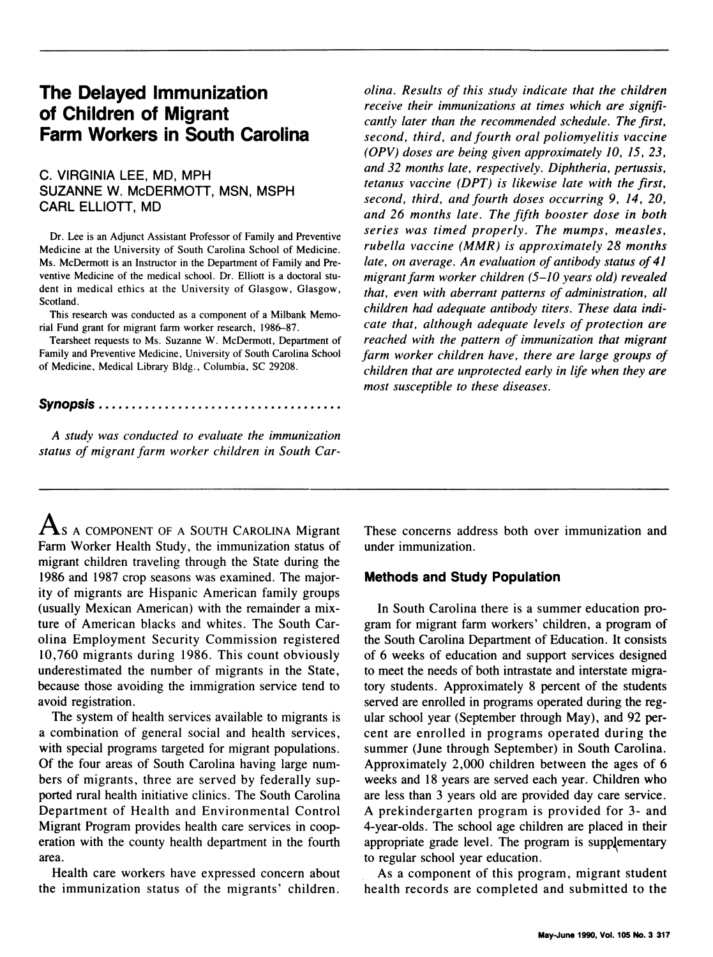# The Delayed Immunization of Children of Migrant Farm Workers in South Carolina

## C. VIRGINIA LEE, MD, MPH SUZANNE W. McDERMOTT, MSN, MSPH CARL ELLIOTT, MD

Dr. Lee is an Adjunct Assistant Professor of Family and Preventive Medicine at the University of South Carolina School of Medicine. Ms. McDermott is an Instructor in the Department of Family and Preventive Medicine of the medical school. Dr. Elliott is a doctoral student in medical ethics at the University of Glasgow, Glasgow, Scotland.

This research was conducted as <sup>a</sup> component of <sup>a</sup> Milbank Memorial Fund grant for migrant farm worker research, 1986-87.

Tearsheet requests to Ms. Suzanne W. McDermott, Department of Family and Preventive Medicine, University of South Carolina School of Medicine, Medical Library Bldg., Columbia, SC 29208.

### Synopsis .....................................

A study was conducted to evaluate the immunization status of migrant farm worker children in South Car-

olina. Results of this study indicate that the children receive their immunizations at times which are significantly later than the recommended schedule. The first, second, third, and fourth oral poliomyelitis vaccine (OPV) doses are being given approximately 10, 15, 23, and 32 months late, respectively. Diphtheria, pertussis, tetanus vaccine (DPT) is likewise late with the first, second, third, and fourth doses occurring 9, 14, 20, and 26 months late. The fifth booster dose in both series was timed properly. The mumps, measles, rubella vaccine (MMR) is approximately 28 months late, on average. An evaluation of antibody status of 41 migrant farm worker children (5-10 years old) revealed that, even with aberrant patterns of administration, all children had adequate antibody titers. These data indicate that, although adequate levels of protection are reached with the pattern of immunization that migrant farm worker children have, there are large groups of children that are unprotected early in life when they are most susceptible to these diseases.

 $\mathbf{A}_s$  a component of a South Carolina Migrant Farm Worker Health Study, the immunization status of migrant children traveling through the State during the 1986 and 1987 crop seasons was examined. The majority of migrants are Hispanic American family groups (usually Mexican American) with the remainder a mixture of American blacks and whites. The South Carolina Employment Security Commission registered 10,760 migrants during 1986. This count obviously underestimated the number of migrants in the State, because those avoiding the immigration service tend to avoid registration.

The system of health services available to migrants is a combination of general social and health services, with special programs targeted for migrant populations. Of the four areas of South Carolina having large numbers of migrants, three are served by federally supported rural health initiative clinics. The South Carolina Department of Health and Environmental Control Migrant Program provides health care services in cooperation with the county health department in the fourth area.

Health care workers have expressed concern about the immunization status of the migrants' children. These concerns address both over immunization and under immunization.

## Methods and Study Population

In South Carolina there is a summer education program for migrant farm workers' children, a program of the South Carolina Department of Education. It consists of 6 weeks of education and support services designed to meet the needs of both intrastate and interstate migratory students. Approximately 8 percent of the students served are enrolled in programs operated during the regular school year (September through May), and 92 percent are enrolled in programs operated during the summer (June through September) in South Carolina. Approximately 2,000 children between the ages of 6 weeks and 18 years are served each year. Children who are less than 3 years old are provided day care service. A prekindergarten program is provided for 3- and 4-year-olds. The school age children are placed in their appropriate grade level. The program is supplementary to regular school year education.

As a component of this program, migrant student health records are completed and submitted to the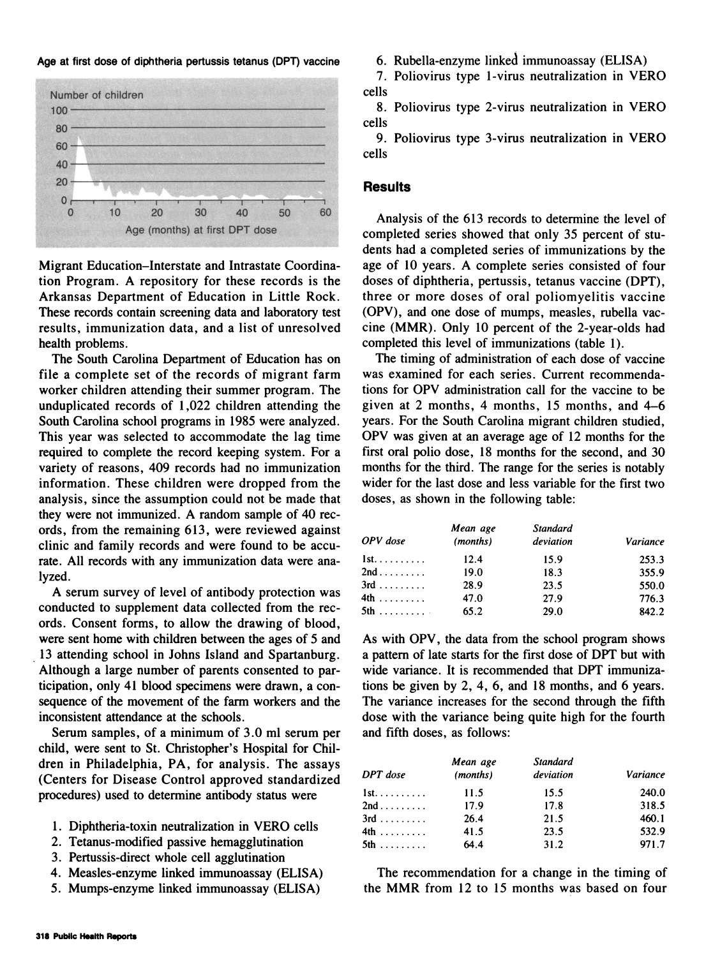Age at first dose of diphtheria pertussis tetanus (DPT) vaccine



Migrant Education-Interstate and Intrastate Coordination Program. A repository for these records is the Arkansas Department of Education in Little Rock. These records contain screening data and laboratory test results, immunization data, and a list of unresolved health problems.

The South Carolina Department of Education has on file a complete set of the records of migrant farm worker children attending their summer program. The unduplicated records of 1,022 children attending the South Carolina school programs in 1985 were analyzed. This year was selected to accommodate the lag time required to complete the record keeping system. For a variety of reasons, 409 records had no immunization information. These children were dropped from the analysis, since the assumption could not be made that they were not immunized. A random sample of 40 records, from the remaining 613, were reviewed against clinic and family records and were found to be accurate. All records with any immunization data were analyzed.

A serum survey of level of antibody protection was conducted to supplement data collected from the records. Consent forms, to allow the drawing of blood, were sent home with children between the ages of 5 and 13 attending school in Johns Island and Spartanburg. Although a large number of parents consented to participation, only 41 blood specimens were drawn, a consequence of the movement of the farm workers and the inconsistent attendance at the schools.

Serum samples, of a minimum of 3.0 ml serum per child, were sent to St. Christopher's Hospital for Children in Philadelphia, PA, for analysis. The assays (Centers for Disease Control approved standardized procedures) used to determine antibody status were

- 1. Diphtheria-toxin neutralization in VERO cells
- 2. Tetanus-modified passive hemagglutination
- 3. Pertussis-direct whole cell agglutination
- 4. Measles-enzyme linked immunoassay (ELISA)
- 5. Mumps-enzyme linked immunoassay (ELISA)

6. Rubella-enzyme linked immunoassay (ELISA)

7. Poliovirus type 1-virus neutralization in VERO cells

8. Poliovirus type 2-virus neutralization in VERO cells

9. Poliovirus type 3-virus neutralization in VERO cells

## **Results**

Analysis of the 613 records to determine the level of completed series showed that only 35 percent of students had a completed series of immunizations by the age of <sup>10</sup> years. A complete series consisted of four doses of diphtheria, pertussis, tetanus vaccine (DPT), three or more doses of oral poliomyelitis vaccine (OPV), and one dose of mumps, measles, rubella vaccine (MMR). Only 10 percent of the 2-year-olds had completed this level of immunizations (table 1).

The timing of administration of each dose of vaccine was examined for each series. Current recommendations for OPV administration call for the vaccine to be given at 2 months, 4 months, 15 months, and 4-6 years. For the South Carolina migrant children studied, OPV was given at an average age of <sup>12</sup> months for the first oral polio dose, 18 months for the second, and 30 months for the third. The range for the series is notably wider for the last dose and less variable for the first two doses, as shown in the following table:

| OPV dose             | Mean age<br>(months) | Standard<br>deviation | Variance |  |
|----------------------|----------------------|-----------------------|----------|--|
| $1st. \ldots \ldots$ | 12.4                 | 15.9                  | 253.3    |  |
| 2nd                  | 19.0                 | 18.3                  | 355.9    |  |
| $3rd$                | 28.9                 | 23.5                  | 550.0    |  |
| $4th$                | 47.0                 | 27.9                  | 776.3    |  |
| $5th$                | 65.2                 | 29.0                  | 842.2    |  |

As with OPV, the data from the school program shows <sup>a</sup> pattern of late starts for the first dose of DPT but with wide variance. It is recommended that DPT immunizations be given by 2, 4, 6, and 18 months, and 6 years. The variance increases for the second through the fifth dose with the variance being quite high for the fourth and fifth doses, as follows:

| DPT dose             | Mean age<br>(months) | <b>Standard</b><br>deviation | <i><b>Variance</b></i> |  |
|----------------------|----------------------|------------------------------|------------------------|--|
| $1st. \ldots \ldots$ | 11.5                 | 15.5                         | 240.0                  |  |
| 2nd                  | 17.9                 | 17.8                         | 318.5                  |  |
| $3rd$                | 26.4                 | 21.5                         | 460.1                  |  |
| $4th$                | 41.5                 | 23.5                         | 532.9                  |  |
| $5th$                | 64.4                 | 31.2                         | 971.7                  |  |

The recommendation for a change in the timing of the MMR from <sup>12</sup> to <sup>15</sup> months was based on four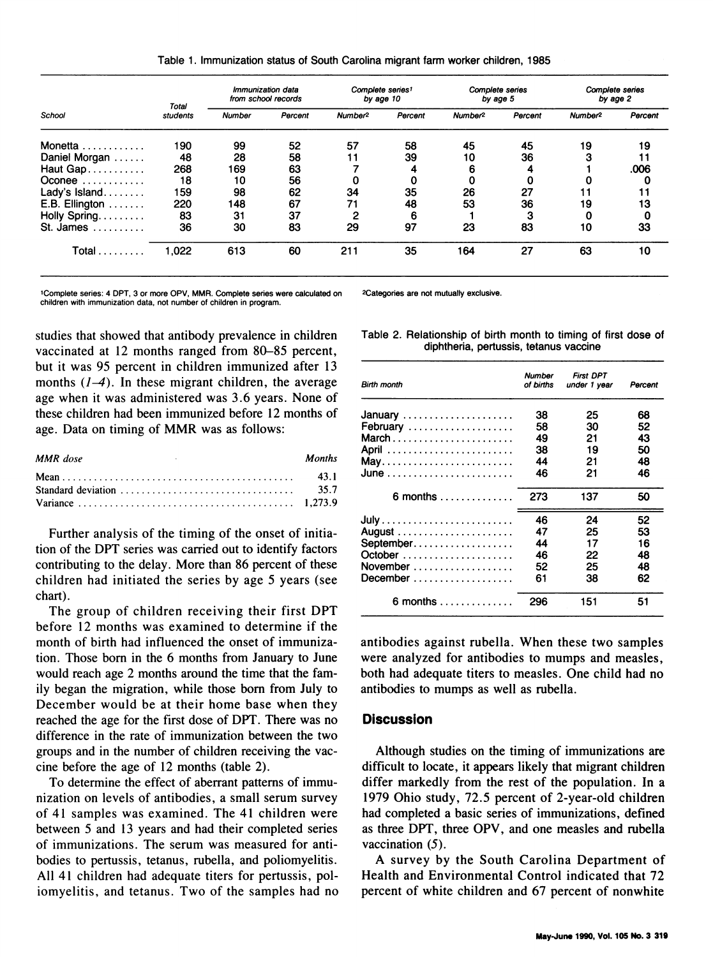Table 1. Immunization status of South Carolina migrant farm worker children, 1985

| School                        | Total<br>students | <i><b>Immunization data</b></i><br>from school records |         | Complete series1<br>by age 10 |         | Complete series<br>by age 5 |         | Complete series<br>by age 2 |         |
|-------------------------------|-------------------|--------------------------------------------------------|---------|-------------------------------|---------|-----------------------------|---------|-----------------------------|---------|
|                               |                   | Number                                                 | Percent | Number <sup>2</sup>           | Percent | Number <sup>2</sup>         | Percent | Number <sup>2</sup>         | Percent |
| Monetta                       | 190               | 99                                                     | 52      | 57                            | 58      | 45                          | 45      | 19                          | 19      |
| Daniel Morgan                 | 48                | 28                                                     | 58      | 11                            | 39      | 10                          | 36      |                             |         |
| Haut Gap                      | 268               | 169                                                    | 63      |                               | 4       |                             | 4       |                             | .006    |
| Oconee $\dots\dots\dots\dots$ | 18                | 10                                                     | 56      |                               | 0       |                             | 0       |                             | 0       |
| Lady's $Island$               | 159               | 98                                                     | 62      | 34                            | 35      | 26                          | 27      |                             |         |
| E.B. Ellington                | 220               | 148                                                    | 67      | 71                            | 48      | 53                          | 36      | 19                          | 13      |
| Holly Spring                  | 83                | 31                                                     | 37      | 2                             | 6       |                             | з       |                             | 0       |
| St. James<br>.                | 36                | 30                                                     | 83      | 29                            | 97      | 23                          | 83      | 10                          | 33      |
| Total                         | 1,022             | 613                                                    | 60      | 211                           | 35      | 164                         | 27      | 63                          | 10      |

'Complete series: 4 DPT, 3 or more OPV, MMR. Complete series were calculated on children with immunization data, not number of children in program.

studies that showed that antibody prevalence in children vaccinated at 12 months ranged from 80-85 percent, but it was 95 percent in children immunized after 13 months  $(1-4)$ . In these migrant children, the average age when it was administered was 3.6 years. None of these children had been immunized before 12 months of age. Data on timing of MMR was as follows:

| <b>MMR</b> dose<br>the control of the control of the con-                                | <b>Months</b> |
|------------------------------------------------------------------------------------------|---------------|
| Standard deviation $\ldots \ldots \ldots \ldots \ldots \ldots \ldots \ldots \ldots$ 35.7 |               |

Further analysis of the timing of the onset of initiation of the DPT series was carried out to identify factors contributing to the delay. More than 86 percent of these children had initiated the series by age 5 years (see chart).

The group of children receiving their first DPT before 12 months was examined to determine if the month of birth had influenced the onset of immunization. Those born in the 6 months from January to June would reach age 2 months around the time that the family began the migration, while those born from July to December would be at their home base when they reached the age for the first dose of DPT. There was no difference in the rate of immunization between the two groups and in the number of children receiving the vaccine before the age of 12 months (table 2).

To determine the effect of aberrant patterns of immunization on levels of antibodies, a small serum survey of 41 samples was examined. The 41 children were between 5 and 13 years and had their completed series of immunizations. The serum was measured for antibodies to pertussis, tetanus, rubella, and poliomyelitis. All 41 children had adequate titers for pertussis, poliomyelitis, and tetanus. Two of the samples had no 2Categories are not mutually exclusive.

Table 2. Relationship of birth month to timing of first dose of diphtheria, pertussis, tetanus vaccine

| <b>Birth month</b>                   | Number<br>of births              | <b>First DPT</b><br>under 1 year | Percent                          |
|--------------------------------------|----------------------------------|----------------------------------|----------------------------------|
| January<br>February<br>March         | 38<br>58<br>49<br>38<br>44<br>46 | 25<br>30<br>21<br>19<br>21<br>21 | 68<br>52<br>43<br>50<br>48<br>46 |
| 6 months $\dots \dots \dots$         | 273                              | 137                              | 50                               |
| September<br>November                | 46<br>47<br>44<br>46<br>52<br>61 | 24<br>25<br>17<br>22<br>25<br>38 | 52<br>53<br>16<br>48<br>48<br>62 |
| 6 months $\dots\dots\dots\dots\dots$ | 296                              | 151                              | 51                               |

antibodies against rubella. When these two samples were analyzed for antibodies to mumps and measles, both had adequate titers to measles. One child had no antibodies to mumps as well as rubella.

#### **Discussion**

Although studies on the timing of immunizations are difficult to locate, it appears likely that migrant children differ markedly from the rest of the population. In a 1979 Ohio study, 72.5 percent of 2-year-old children had completed a basic series of immunizations, defined as three DPIT, three OPV, and one measles and rubella vaccination  $(5)$ .

A survey by the South Carolina Department of Health and Environmental Control indicated that 72 percent of white children and 67 percent of nonwhite